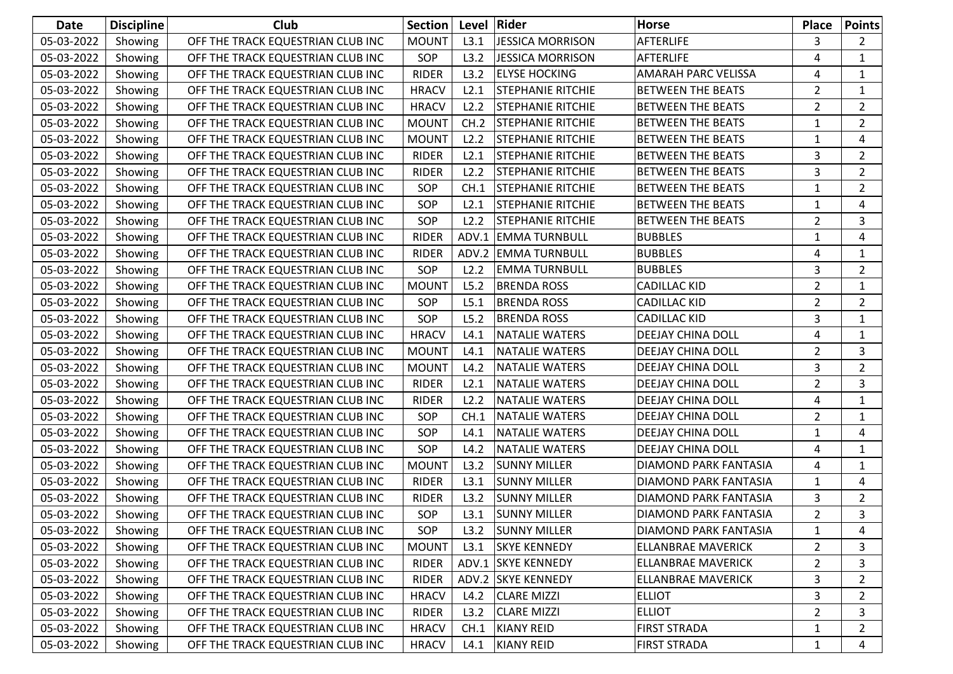| <b>Date</b> | <b>Discipline</b> | Club                              | <b>Section</b> | Level | Rider                    | <b>Horse</b>                 | <b>Place</b>   | <b>Points</b>  |
|-------------|-------------------|-----------------------------------|----------------|-------|--------------------------|------------------------------|----------------|----------------|
| 05-03-2022  | Showing           | OFF THE TRACK EQUESTRIAN CLUB INC | <b>MOUNT</b>   | L3.1  | <b>JESSICA MORRISON</b>  | <b>AFTERLIFE</b>             | 3              | $\overline{2}$ |
| 05-03-2022  | Showing           | OFF THE TRACK EQUESTRIAN CLUB INC | SOP            | L3.2  | <b>JESSICA MORRISON</b>  | <b>AFTERLIFE</b>             | 4              | 1              |
| 05-03-2022  | Showing           | OFF THE TRACK EQUESTRIAN CLUB INC | <b>RIDER</b>   | L3.2  | <b>ELYSE HOCKING</b>     | <b>AMARAH PARC VELISSA</b>   | 4              | $\mathbf{1}$   |
| 05-03-2022  | Showing           | OFF THE TRACK EQUESTRIAN CLUB INC | <b>HRACV</b>   | L2.1  | <b>STEPHANIE RITCHIE</b> | <b>BETWEEN THE BEATS</b>     | $\overline{2}$ | $\mathbf{1}$   |
| 05-03-2022  | Showing           | OFF THE TRACK EQUESTRIAN CLUB INC | <b>HRACV</b>   | L2.2  | <b>STEPHANIE RITCHIE</b> | <b>BETWEEN THE BEATS</b>     | $\overline{2}$ | $\overline{2}$ |
| 05-03-2022  | Showing           | OFF THE TRACK EQUESTRIAN CLUB INC | <b>MOUNT</b>   | CH.2  | <b>STEPHANIE RITCHIE</b> | <b>BETWEEN THE BEATS</b>     | 1              | $\overline{2}$ |
| 05-03-2022  | Showing           | OFF THE TRACK EQUESTRIAN CLUB INC | <b>MOUNT</b>   | L2.2  | <b>STEPHANIE RITCHIE</b> | <b>BETWEEN THE BEATS</b>     | 1              | 4              |
| 05-03-2022  | Showing           | OFF THE TRACK EQUESTRIAN CLUB INC | <b>RIDER</b>   | L2.1  | <b>STEPHANIE RITCHIE</b> | <b>BETWEEN THE BEATS</b>     | 3              | $\overline{2}$ |
| 05-03-2022  | Showing           | OFF THE TRACK EQUESTRIAN CLUB INC | <b>RIDER</b>   | L2.2  | <b>STEPHANIE RITCHIE</b> | <b>BETWEEN THE BEATS</b>     | 3              | $\overline{2}$ |
| 05-03-2022  | Showing           | OFF THE TRACK EQUESTRIAN CLUB INC | SOP            | CH.1  | <b>STEPHANIE RITCHIE</b> | <b>BETWEEN THE BEATS</b>     | $\mathbf{1}$   | $\overline{2}$ |
| 05-03-2022  | Showing           | OFF THE TRACK EQUESTRIAN CLUB INC | SOP            | L2.1  | <b>STEPHANIE RITCHIE</b> | <b>BETWEEN THE BEATS</b>     | $\mathbf{1}$   | 4              |
| 05-03-2022  | Showing           | OFF THE TRACK EQUESTRIAN CLUB INC | SOP            | L2.2  | <b>STEPHANIE RITCHIE</b> | <b>BETWEEN THE BEATS</b>     | 2              | 3              |
| 05-03-2022  | Showing           | OFF THE TRACK EQUESTRIAN CLUB INC | <b>RIDER</b>   | ADV.1 | <b>EMMA TURNBULL</b>     | <b>BUBBLES</b>               | 1              | 4              |
| 05-03-2022  | Showing           | OFF THE TRACK EQUESTRIAN CLUB INC | <b>RIDER</b>   |       | ADV.2 EMMA TURNBULL      | <b>BUBBLES</b>               | 4              | $\mathbf{1}$   |
| 05-03-2022  | Showing           | OFF THE TRACK EQUESTRIAN CLUB INC | SOP            | L2.2  | <b>EMMA TURNBULL</b>     | <b>BUBBLES</b>               | 3              | $\overline{2}$ |
| 05-03-2022  | Showing           | OFF THE TRACK EQUESTRIAN CLUB INC | <b>MOUNT</b>   | L5.2  | <b>BRENDA ROSS</b>       | <b>CADILLAC KID</b>          | $\overline{2}$ | $\mathbf{1}$   |
| 05-03-2022  | Showing           | OFF THE TRACK EQUESTRIAN CLUB INC | SOP            | L5.1  | <b>BRENDA ROSS</b>       | <b>CADILLAC KID</b>          | $\overline{2}$ | $\overline{2}$ |
| 05-03-2022  | Showing           | OFF THE TRACK EQUESTRIAN CLUB INC | SOP            | L5.2  | <b>BRENDA ROSS</b>       | <b>CADILLAC KID</b>          | 3              | $\mathbf{1}$   |
| 05-03-2022  | Showing           | OFF THE TRACK EQUESTRIAN CLUB INC | <b>HRACV</b>   | L4.1  | <b>NATALIE WATERS</b>    | DEEJAY CHINA DOLL            | 4              | $\mathbf{1}$   |
| 05-03-2022  | Showing           | OFF THE TRACK EQUESTRIAN CLUB INC | <b>MOUNT</b>   | L4.1  | <b>NATALIE WATERS</b>    | DEEJAY CHINA DOLL            | $\overline{2}$ | 3              |
| 05-03-2022  | Showing           | OFF THE TRACK EQUESTRIAN CLUB INC | <b>MOUNT</b>   | L4.2  | <b>NATALIE WATERS</b>    | DEEJAY CHINA DOLL            | 3              | $\overline{2}$ |
| 05-03-2022  | Showing           | OFF THE TRACK EQUESTRIAN CLUB INC | <b>RIDER</b>   | L2.1  | <b>NATALIE WATERS</b>    | DEEJAY CHINA DOLL            | 2              | 3              |
| 05-03-2022  | Showing           | OFF THE TRACK EQUESTRIAN CLUB INC | <b>RIDER</b>   | L2.2  | <b>NATALIE WATERS</b>    | DEEJAY CHINA DOLL            | 4              | $\mathbf{1}$   |
| 05-03-2022  | Showing           | OFF THE TRACK EQUESTRIAN CLUB INC | SOP            | CH.1  | <b>NATALIE WATERS</b>    | DEEJAY CHINA DOLL            | $\overline{2}$ | $\mathbf{1}$   |
| 05-03-2022  | Showing           | OFF THE TRACK EQUESTRIAN CLUB INC | SOP            | L4.1  | <b>NATALIE WATERS</b>    | DEEJAY CHINA DOLL            | 1              | 4              |
| 05-03-2022  | Showing           | OFF THE TRACK EQUESTRIAN CLUB INC | SOP            | L4.2  | <b>NATALIE WATERS</b>    | DEEJAY CHINA DOLL            | 4              | $\mathbf{1}$   |
| 05-03-2022  | Showing           | OFF THE TRACK EQUESTRIAN CLUB INC | <b>MOUNT</b>   | L3.2  | <b>SUNNY MILLER</b>      | DIAMOND PARK FANTASIA        | 4              | $\mathbf{1}$   |
| 05-03-2022  | Showing           | OFF THE TRACK EQUESTRIAN CLUB INC | <b>RIDER</b>   | L3.1  | <b>SUNNY MILLER</b>      | DIAMOND PARK FANTASIA        | 1              | 4              |
| 05-03-2022  | Showing           | OFF THE TRACK EQUESTRIAN CLUB INC | <b>RIDER</b>   | L3.2  | <b>SUNNY MILLER</b>      | DIAMOND PARK FANTASIA        | 3              | $\overline{2}$ |
| 05-03-2022  | Showing           | OFF THE TRACK EQUESTRIAN CLUB INC | SOP            | L3.1  | <b>SUNNY MILLER</b>      | DIAMOND PARK FANTASIA        | $\overline{2}$ | 3              |
| 05-03-2022  | Showing           | OFF THE TRACK EQUESTRIAN CLUB INC | SOP            | L3.2  | <b>SUNNY MILLER</b>      | <b>DIAMOND PARK FANTASIA</b> | 1              | 4              |
| 05-03-2022  | Showing           | OFF THE TRACK EQUESTRIAN CLUB INC | <b>MOUNT</b>   | L3.1  | <b>SKYE KENNEDY</b>      | ELLANBRAE MAVERICK           | 2              | 3              |
| 05-03-2022  | Showing           | OFF THE TRACK EQUESTRIAN CLUB INC | <b>RIDER</b>   |       | ADV.1 SKYE KENNEDY       | ELLANBRAE MAVERICK           | $\overline{2}$ | 3              |
| 05-03-2022  | Showing           | OFF THE TRACK EQUESTRIAN CLUB INC | <b>RIDER</b>   |       | ADV.2 SKYE KENNEDY       | <b>ELLANBRAE MAVERICK</b>    | 3              | $\overline{2}$ |
| 05-03-2022  | Showing           | OFF THE TRACK EQUESTRIAN CLUB INC | <b>HRACV</b>   | L4.2  | <b>CLARE MIZZI</b>       | <b>ELLIOT</b>                | 3              | $\overline{2}$ |
| 05-03-2022  | Showing           | OFF THE TRACK EQUESTRIAN CLUB INC | <b>RIDER</b>   | L3.2  | <b>CLARE MIZZI</b>       | <b>ELLIOT</b>                | $\overline{2}$ | 3              |
| 05-03-2022  | Showing           | OFF THE TRACK EQUESTRIAN CLUB INC | <b>HRACV</b>   | CH.1  | <b>KIANY REID</b>        | <b>FIRST STRADA</b>          | 1              | 2              |
| 05-03-2022  | Showing           | OFF THE TRACK EQUESTRIAN CLUB INC | <b>HRACV</b>   | L4.1  | <b>KIANY REID</b>        | <b>FIRST STRADA</b>          | $\mathbf{1}$   | 4              |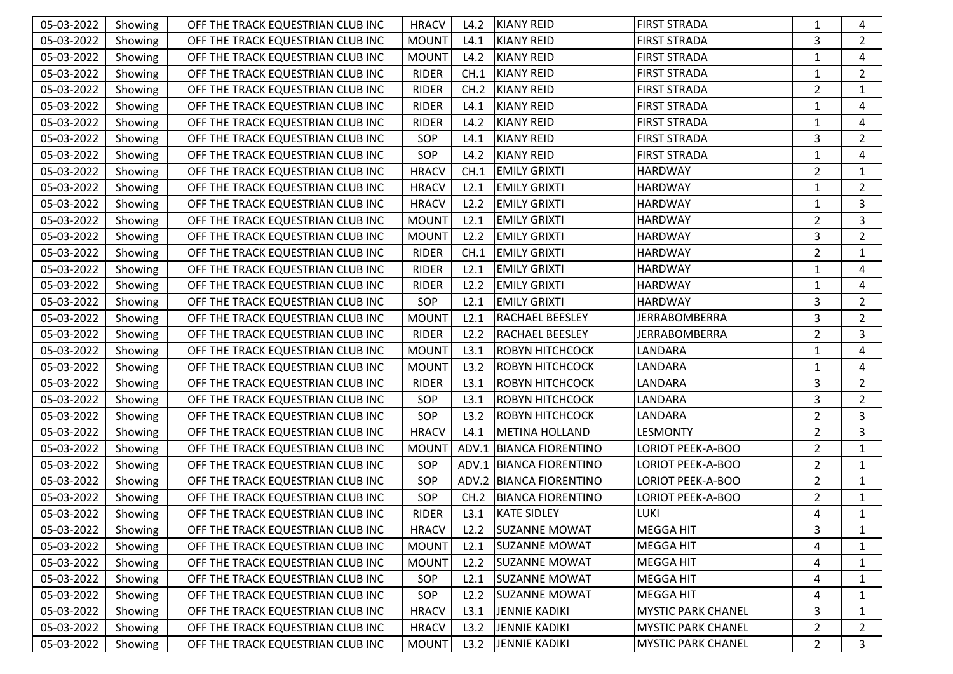| 05-03-2022 | Showing | OFF THE TRACK EQUESTRIAN CLUB INC | <b>HRACV</b> | L4.2  | <b>KIANY REID</b>        | <b>FIRST STRADA</b>       | 1              | 4              |
|------------|---------|-----------------------------------|--------------|-------|--------------------------|---------------------------|----------------|----------------|
| 05-03-2022 | Showing | OFF THE TRACK EQUESTRIAN CLUB INC | <b>MOUNT</b> | L4.1  | <b>KIANY REID</b>        | <b>FIRST STRADA</b>       | 3              | $\overline{2}$ |
| 05-03-2022 | Showing | OFF THE TRACK EQUESTRIAN CLUB INC | <b>MOUNT</b> | L4.2  | <b>KIANY REID</b>        | <b>FIRST STRADA</b>       | 1              | 4              |
| 05-03-2022 | Showing | OFF THE TRACK EQUESTRIAN CLUB INC | <b>RIDER</b> | CH.1  | <b>KIANY REID</b>        | <b>FIRST STRADA</b>       | $\mathbf{1}$   | $\overline{2}$ |
| 05-03-2022 | Showing | OFF THE TRACK EQUESTRIAN CLUB INC | <b>RIDER</b> | CH.2  | <b>KIANY REID</b>        | <b>FIRST STRADA</b>       | $\overline{2}$ | $\mathbf{1}$   |
| 05-03-2022 | Showing | OFF THE TRACK EQUESTRIAN CLUB INC | <b>RIDER</b> | L4.1  | <b>KIANY REID</b>        | <b>FIRST STRADA</b>       | 1              | 4              |
| 05-03-2022 | Showing | OFF THE TRACK EQUESTRIAN CLUB INC | <b>RIDER</b> | L4.2  | <b>KIANY REID</b>        | <b>FIRST STRADA</b>       | $\mathbf{1}$   | 4              |
| 05-03-2022 | Showing | OFF THE TRACK EQUESTRIAN CLUB INC | SOP          | L4.1  | <b>KIANY REID</b>        | <b>FIRST STRADA</b>       | 3              | $\overline{2}$ |
| 05-03-2022 | Showing | OFF THE TRACK EQUESTRIAN CLUB INC | SOP          | L4.2  | <b>KIANY REID</b>        | <b>FIRST STRADA</b>       | $\mathbf{1}$   | 4              |
| 05-03-2022 | Showing | OFF THE TRACK EQUESTRIAN CLUB INC | <b>HRACV</b> | CH.1  | <b>EMILY GRIXTI</b>      | <b>HARDWAY</b>            | $\overline{2}$ | $\mathbf{1}$   |
| 05-03-2022 | Showing | OFF THE TRACK EQUESTRIAN CLUB INC | <b>HRACV</b> | L2.1  | <b>EMILY GRIXTI</b>      | <b>HARDWAY</b>            | 1              | $\overline{2}$ |
| 05-03-2022 | Showing | OFF THE TRACK EQUESTRIAN CLUB INC | <b>HRACV</b> | L2.2  | <b>EMILY GRIXTI</b>      | <b>HARDWAY</b>            | $\mathbf{1}$   | 3              |
| 05-03-2022 | Showing | OFF THE TRACK EQUESTRIAN CLUB INC | <b>MOUNT</b> | L2.1  | <b>EMILY GRIXTI</b>      | <b>HARDWAY</b>            | $\overline{2}$ | 3              |
| 05-03-2022 | Showing | OFF THE TRACK EQUESTRIAN CLUB INC | <b>MOUNT</b> | L2.2  | <b>EMILY GRIXTI</b>      | <b>HARDWAY</b>            | 3              | $\overline{2}$ |
| 05-03-2022 | Showing | OFF THE TRACK EQUESTRIAN CLUB INC | <b>RIDER</b> | CH.1  | <b>EMILY GRIXTI</b>      | <b>HARDWAY</b>            | $\overline{2}$ | $\mathbf{1}$   |
| 05-03-2022 | Showing | OFF THE TRACK EQUESTRIAN CLUB INC | <b>RIDER</b> | L2.1  | <b>EMILY GRIXTI</b>      | <b>HARDWAY</b>            | 1              | 4              |
| 05-03-2022 | Showing | OFF THE TRACK EQUESTRIAN CLUB INC | <b>RIDER</b> | L2.2  | <b>EMILY GRIXTI</b>      | <b>HARDWAY</b>            | $\mathbf{1}$   | 4              |
| 05-03-2022 | Showing | OFF THE TRACK EQUESTRIAN CLUB INC | SOP          | L2.1  | <b>EMILY GRIXTI</b>      | HARDWAY                   | 3              | $\overline{2}$ |
| 05-03-2022 | Showing | OFF THE TRACK EQUESTRIAN CLUB INC | <b>MOUNT</b> | L2.1  | RACHAEL BEESLEY          | <b>JERRABOMBERRA</b>      | 3              | $\overline{2}$ |
| 05-03-2022 | Showing | OFF THE TRACK EQUESTRIAN CLUB INC | <b>RIDER</b> | L2.2  | RACHAEL BEESLEY          | <b>JERRABOMBERRA</b>      | $\overline{2}$ | 3              |
| 05-03-2022 | Showing | OFF THE TRACK EQUESTRIAN CLUB INC | <b>MOUNT</b> | L3.1  | ROBYN HITCHCOCK          | LANDARA                   | 1              | 4              |
| 05-03-2022 | Showing | OFF THE TRACK EQUESTRIAN CLUB INC | <b>MOUNT</b> | L3.2  | ROBYN HITCHCOCK          | LANDARA                   | $\mathbf{1}$   | 4              |
| 05-03-2022 | Showing | OFF THE TRACK EQUESTRIAN CLUB INC | <b>RIDER</b> | L3.1  | ROBYN HITCHCOCK          | LANDARA                   | 3              | $\overline{2}$ |
| 05-03-2022 | Showing | OFF THE TRACK EQUESTRIAN CLUB INC | SOP          | L3.1  | ROBYN HITCHCOCK          | LANDARA                   | 3              | $\overline{2}$ |
| 05-03-2022 | Showing | OFF THE TRACK EQUESTRIAN CLUB INC | SOP          | L3.2  | ROBYN HITCHCOCK          | LANDARA                   | $\overline{2}$ | 3              |
| 05-03-2022 | Showing | OFF THE TRACK EQUESTRIAN CLUB INC | <b>HRACV</b> | L4.1  | <b>METINA HOLLAND</b>    | <b>LESMONTY</b>           | $\overline{2}$ | 3              |
| 05-03-2022 | Showing | OFF THE TRACK EQUESTRIAN CLUB INC | <b>MOUNT</b> |       | ADV.1 BIANCA FIORENTINO  | <b>LORIOT PEEK-A-BOO</b>  | $\overline{2}$ | $\mathbf{1}$   |
| 05-03-2022 | Showing | OFF THE TRACK EQUESTRIAN CLUB INC | SOP          | ADV.1 | <b>BIANCA FIORENTINO</b> | LORIOT PEEK-A-BOO         | $\overline{2}$ | $\mathbf{1}$   |
| 05-03-2022 | Showing | OFF THE TRACK EQUESTRIAN CLUB INC | SOP          |       | ADV.2 BIANCA FIORENTINO  | <b>LORIOT PEEK-A-BOO</b>  | $\overline{2}$ | $\mathbf{1}$   |
| 05-03-2022 | Showing | OFF THE TRACK EQUESTRIAN CLUB INC | SOP          | CH.2  | <b>BIANCA FIORENTINO</b> | <b>LORIOT PEEK-A-BOO</b>  | $\overline{2}$ | $\mathbf{1}$   |
| 05-03-2022 | Showing | OFF THE TRACK EQUESTRIAN CLUB INC | <b>RIDER</b> | L3.1  | <b>KATE SIDLEY</b>       | <b>LUKI</b>               | 4              | $\mathbf{1}$   |
| 05-03-2022 | Showing | OFF THE TRACK EQUESTRIAN CLUB INC | <b>HRACV</b> | L2.2  | <b>SUZANNE MOWAT</b>     | MEGGA HIT                 | 3              | 1              |
| 05-03-2022 | Showing | OFF THE TRACK EQUESTRIAN CLUB INC | <b>MOUNT</b> | L2.1  | <b>SUZANNE MOWAT</b>     | <b>MEGGA HIT</b>          | 4              | 1              |
| 05-03-2022 | Showing | OFF THE TRACK EQUESTRIAN CLUB INC | <b>MOUNT</b> | L2.2  | <b>SUZANNE MOWAT</b>     | <b>MEGGA HIT</b>          | 4              | 1              |
| 05-03-2022 | Showing | OFF THE TRACK EQUESTRIAN CLUB INC | SOP          | L2.1  | <b>SUZANNE MOWAT</b>     | <b>MEGGA HIT</b>          | 4              | 1              |
| 05-03-2022 | Showing | OFF THE TRACK EQUESTRIAN CLUB INC | SOP          | L2.2  | <b>SUZANNE MOWAT</b>     | <b>MEGGA HIT</b>          | 4              | 1              |
| 05-03-2022 | Showing | OFF THE TRACK EQUESTRIAN CLUB INC | <b>HRACV</b> | L3.1  | <b>JENNIE KADIKI</b>     | <b>MYSTIC PARK CHANEL</b> | 3              | 1              |
| 05-03-2022 | Showing | OFF THE TRACK EQUESTRIAN CLUB INC | <b>HRACV</b> | L3.2  | <b>JENNIE KADIKI</b>     | <b>MYSTIC PARK CHANEL</b> | $\overline{2}$ | $\overline{2}$ |
| 05-03-2022 | Showing | OFF THE TRACK EQUESTRIAN CLUB INC | <b>MOUNT</b> | L3.2  | <b>JENNIE KADIKI</b>     | <b>MYSTIC PARK CHANEL</b> | $\overline{2}$ | 3              |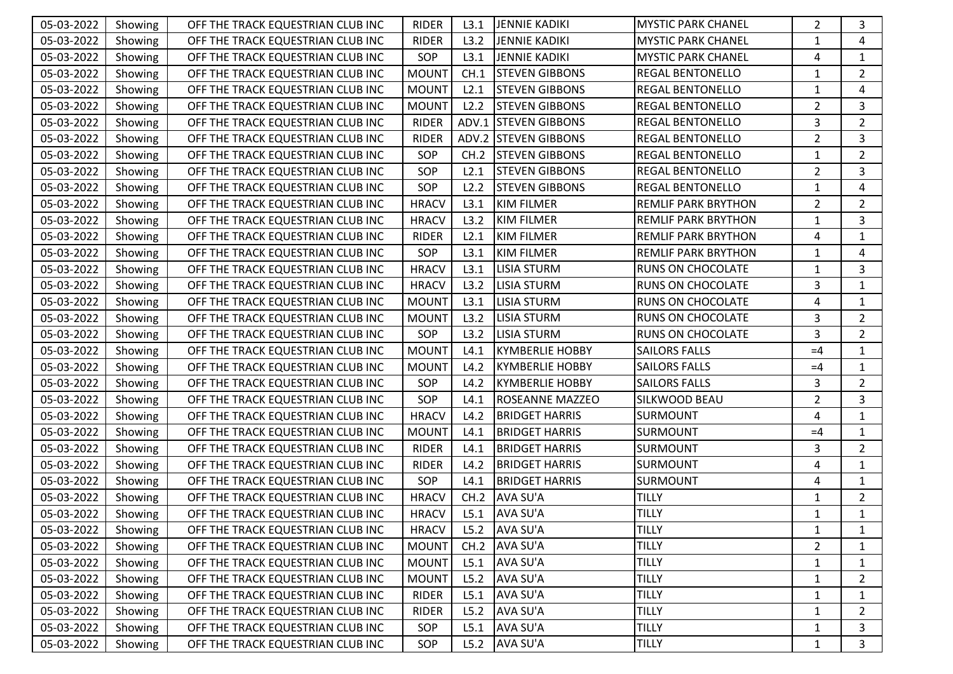| 05-03-2022 | Showing | OFF THE TRACK EQUESTRIAN CLUB INC | <b>RIDER</b> | L3.1  | <b>JENNIE KADIKI</b>        | <b>MYSTIC PARK CHANEL</b>  | $\overline{2}$ | 3              |
|------------|---------|-----------------------------------|--------------|-------|-----------------------------|----------------------------|----------------|----------------|
| 05-03-2022 | Showing | OFF THE TRACK EQUESTRIAN CLUB INC | <b>RIDER</b> | L3.2  | <b>JENNIE KADIKI</b>        | <b>MYSTIC PARK CHANEL</b>  | 1              | 4              |
| 05-03-2022 | Showing | OFF THE TRACK EQUESTRIAN CLUB INC | SOP          | L3.1  | <b>JENNIE KADIKI</b>        | <b>MYSTIC PARK CHANEL</b>  | 4              | $\mathbf{1}$   |
| 05-03-2022 | Showing | OFF THE TRACK EQUESTRIAN CLUB INC | <b>MOUNT</b> | CH.1  | <b>STEVEN GIBBONS</b>       | REGAL BENTONELLO           | 1              | $\overline{2}$ |
| 05-03-2022 | Showing | OFF THE TRACK EQUESTRIAN CLUB INC | <b>MOUNT</b> | L2.1  | <b>STEVEN GIBBONS</b>       | <b>REGAL BENTONELLO</b>    | $\mathbf{1}$   | 4              |
| 05-03-2022 | Showing | OFF THE TRACK EQUESTRIAN CLUB INC | <b>MOUNT</b> | L2.2  | <b>STEVEN GIBBONS</b>       | <b>REGAL BENTONELLO</b>    | $\overline{2}$ | 3              |
| 05-03-2022 | Showing | OFF THE TRACK EQUESTRIAN CLUB INC | <b>RIDER</b> | ADV.1 | <b>STEVEN GIBBONS</b>       | <b>REGAL BENTONELLO</b>    | 3              | $\overline{2}$ |
| 05-03-2022 | Showing | OFF THE TRACK EQUESTRIAN CLUB INC | <b>RIDER</b> |       | <b>ADV.2 STEVEN GIBBONS</b> | <b>REGAL BENTONELLO</b>    | $\overline{2}$ | 3              |
| 05-03-2022 | Showing | OFF THE TRACK EQUESTRIAN CLUB INC | SOP          | CH.2  | <b>STEVEN GIBBONS</b>       | <b>REGAL BENTONELLO</b>    | $\mathbf{1}$   | $\overline{2}$ |
| 05-03-2022 | Showing | OFF THE TRACK EQUESTRIAN CLUB INC | SOP          | L2.1  | <b>STEVEN GIBBONS</b>       | <b>REGAL BENTONELLO</b>    | $\overline{2}$ | 3              |
| 05-03-2022 | Showing | OFF THE TRACK EQUESTRIAN CLUB INC | SOP          | L2.2  | <b>STEVEN GIBBONS</b>       | <b>REGAL BENTONELLO</b>    | 1              | 4              |
| 05-03-2022 | Showing | OFF THE TRACK EQUESTRIAN CLUB INC | <b>HRACV</b> | L3.1  | <b>KIM FILMER</b>           | <b>REMLIF PARK BRYTHON</b> | $\overline{2}$ | $\overline{2}$ |
| 05-03-2022 | Showing | OFF THE TRACK EQUESTRIAN CLUB INC | <b>HRACV</b> | L3.2  | <b>KIM FILMER</b>           | REMLIF PARK BRYTHON        | 1              | 3              |
| 05-03-2022 | Showing | OFF THE TRACK EQUESTRIAN CLUB INC | <b>RIDER</b> | L2.1  | <b>KIM FILMER</b>           | <b>REMLIF PARK BRYTHON</b> | 4              | $\mathbf{1}$   |
| 05-03-2022 | Showing | OFF THE TRACK EQUESTRIAN CLUB INC | SOP          | L3.1  | <b>KIM FILMER</b>           | <b>REMLIF PARK BRYTHON</b> | $\mathbf{1}$   | 4              |
| 05-03-2022 | Showing | OFF THE TRACK EQUESTRIAN CLUB INC | <b>HRACV</b> | L3.1  | LISIA STURM                 | <b>RUNS ON CHOCOLATE</b>   | 1              | 3              |
| 05-03-2022 | Showing | OFF THE TRACK EQUESTRIAN CLUB INC | <b>HRACV</b> | L3.2  | <b>LISIA STURM</b>          | RUNS ON CHOCOLATE          | 3              | $\mathbf{1}$   |
| 05-03-2022 | Showing | OFF THE TRACK EQUESTRIAN CLUB INC | <b>MOUNT</b> | L3.1  | <b>LISIA STURM</b>          | <b>RUNS ON CHOCOLATE</b>   | 4              | $\mathbf{1}$   |
| 05-03-2022 | Showing | OFF THE TRACK EQUESTRIAN CLUB INC | <b>MOUNT</b> | L3.2  | <b>LISIA STURM</b>          | <b>RUNS ON CHOCOLATE</b>   | 3              | $\overline{2}$ |
| 05-03-2022 | Showing | OFF THE TRACK EQUESTRIAN CLUB INC | SOP          | L3.2  | <b>LISIA STURM</b>          | <b>RUNS ON CHOCOLATE</b>   | 3              | $\overline{2}$ |
| 05-03-2022 | Showing | OFF THE TRACK EQUESTRIAN CLUB INC | <b>MOUNT</b> | L4.1  | <b>KYMBERLIE HOBBY</b>      | <b>SAILORS FALLS</b>       | $=4$           | $\mathbf{1}$   |
| 05-03-2022 | Showing | OFF THE TRACK EQUESTRIAN CLUB INC | <b>MOUNT</b> | L4.2  | <b>KYMBERLIE HOBBY</b>      | <b>SAILORS FALLS</b>       | $=4$           | $\mathbf{1}$   |
| 05-03-2022 | Showing | OFF THE TRACK EQUESTRIAN CLUB INC | SOP          | L4.2  | <b>KYMBERLIE HOBBY</b>      | <b>SAILORS FALLS</b>       | 3              | $\overline{2}$ |
| 05-03-2022 | Showing | OFF THE TRACK EQUESTRIAN CLUB INC | SOP          | L4.1  | ROSEANNE MAZZEO             | SILKWOOD BEAU              | $\overline{2}$ | 3              |
| 05-03-2022 | Showing | OFF THE TRACK EQUESTRIAN CLUB INC | <b>HRACV</b> | L4.2  | <b>BRIDGET HARRIS</b>       | <b>SURMOUNT</b>            | 4              | $\mathbf{1}$   |
| 05-03-2022 | Showing | OFF THE TRACK EQUESTRIAN CLUB INC | <b>MOUNT</b> | L4.1  | <b>BRIDGET HARRIS</b>       | <b>SURMOUNT</b>            | $=4$           | $\mathbf{1}$   |
| 05-03-2022 | Showing | OFF THE TRACK EQUESTRIAN CLUB INC | <b>RIDER</b> | L4.1  | <b>BRIDGET HARRIS</b>       | <b>SURMOUNT</b>            | 3              | $\overline{2}$ |
| 05-03-2022 | Showing | OFF THE TRACK EQUESTRIAN CLUB INC | <b>RIDER</b> | L4.2  | <b>BRIDGET HARRIS</b>       | SURMOUNT                   | 4              | $\mathbf{1}$   |
| 05-03-2022 | Showing | OFF THE TRACK EQUESTRIAN CLUB INC | SOP          | L4.1  | <b>BRIDGET HARRIS</b>       | <b>SURMOUNT</b>            | 4              | $\mathbf{1}$   |
| 05-03-2022 | Showing | OFF THE TRACK EQUESTRIAN CLUB INC | <b>HRACV</b> | CH.2  | <b>AVA SU'A</b>             | <b>TILLY</b>               | 1              | $\overline{2}$ |
| 05-03-2022 | Showing | OFF THE TRACK EQUESTRIAN CLUB INC | <b>HRACV</b> | L5.1  | <b>AVA SU'A</b>             | <b>TILLY</b>               | $\mathbf{1}$   | $\mathbf{1}$   |
| 05-03-2022 | Showing | OFF THE TRACK EQUESTRIAN CLUB INC | <b>HRACV</b> | L5.2  | <b>AVA SU'A</b>             | <b>TILLY</b>               | 1              | $\mathbf{1}$   |
| 05-03-2022 | Showing | OFF THE TRACK EQUESTRIAN CLUB INC | <b>MOUNT</b> | CH.2  | AVA SU'A                    | <b>TILLY</b>               | $\overline{2}$ | 1              |
| 05-03-2022 | Showing | OFF THE TRACK EQUESTRIAN CLUB INC | <b>MOUNT</b> | L5.1  | AVA SU'A                    | <b>TILLY</b>               | 1              | 1              |
| 05-03-2022 | Showing | OFF THE TRACK EQUESTRIAN CLUB INC | <b>MOUNT</b> | L5.2  | <b>AVA SU'A</b>             | <b>TILLY</b>               | 1              | $\overline{2}$ |
| 05-03-2022 | Showing | OFF THE TRACK EQUESTRIAN CLUB INC | <b>RIDER</b> | L5.1  | <b>AVA SU'A</b>             | <b>TILLY</b>               | 1              | 1              |
| 05-03-2022 | Showing | OFF THE TRACK EQUESTRIAN CLUB INC | <b>RIDER</b> | L5.2  | AVA SU'A                    | <b>TILLY</b>               | 1              | $\overline{2}$ |
| 05-03-2022 | Showing | OFF THE TRACK EQUESTRIAN CLUB INC | SOP          | L5.1  | AVA SU'A                    | <b>TILLY</b>               | 1              | 3              |
| 05-03-2022 | Showing | OFF THE TRACK EQUESTRIAN CLUB INC | SOP          | L5.2  | <b>AVA SU'A</b>             | <b>TILLY</b>               | $\mathbf{1}$   | $\mathbf{3}$   |